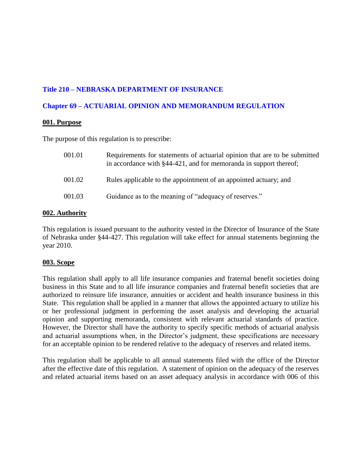# **Title 210 – NEBRASKA DEPARTMENT OF INSURANCE**

# **Chapter 69 – ACTUARIAL OPINION AND MEMORANDUM REGULATION**

# **001. Purpose**

The purpose of this regulation is to prescribe:

| 001.01 | Requirements for statements of actuarial opinion that are to be submitted<br>in accordance with §44-421, and for memoranda in support thereof; |
|--------|------------------------------------------------------------------------------------------------------------------------------------------------|
| 001.02 | Rules applicable to the appointment of an appointed actuary; and                                                                               |
| 001.03 | Guidance as to the meaning of "adequacy of reserves."                                                                                          |

## **002. Authority**

This regulation is issued pursuant to the authority vested in the Director of Insurance of the State of Nebraska under §44-427. This regulation will take effect for annual statements beginning the year 2010.

# **003. Scope**

This regulation shall apply to all life insurance companies and fraternal benefit societies doing business in this State and to all life insurance companies and fraternal benefit societies that are authorized to reinsure life insurance, annuities or accident and health insurance business in this State. This regulation shall be applied in a manner that allows the appointed actuary to utilize his or her professional judgment in performing the asset analysis and developing the actuarial opinion and supporting memoranda, consistent with relevant actuarial standards of practice. However, the Director shall have the authority to specify specific methods of actuarial analysis and actuarial assumptions when, in the Director's judgment, these specifications are necessary for an acceptable opinion to be rendered relative to the adequacy of reserves and related items.

This regulation shall be applicable to all annual statements filed with the office of the Director after the effective date of this regulation. A statement of opinion on the adequacy of the reserves and related actuarial items based on an asset adequacy analysis in accordance with 006 of this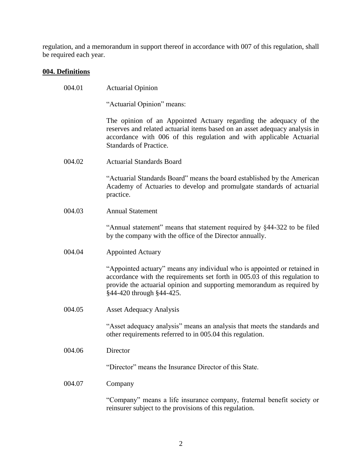regulation, and a memorandum in support thereof in accordance with 007 of this regulation, shall be required each year.

# **004. Definitions**

| 004.01 | <b>Actuarial Opinion</b>                                                                                                                                                                                                                                     |
|--------|--------------------------------------------------------------------------------------------------------------------------------------------------------------------------------------------------------------------------------------------------------------|
|        | "Actuarial Opinion" means:                                                                                                                                                                                                                                   |
|        | The opinion of an Appointed Actuary regarding the adequacy of the<br>reserves and related actuarial items based on an asset adequacy analysis in<br>accordance with 006 of this regulation and with applicable Actuarial<br>Standards of Practice.           |
| 004.02 | <b>Actuarial Standards Board</b>                                                                                                                                                                                                                             |
|        | "Actuarial Standards Board" means the board established by the American<br>Academy of Actuaries to develop and promulgate standards of actuarial<br>practice.                                                                                                |
| 004.03 | <b>Annual Statement</b>                                                                                                                                                                                                                                      |
|        | "Annual statement" means that statement required by §44-322 to be filed<br>by the company with the office of the Director annually.                                                                                                                          |
| 004.04 | <b>Appointed Actuary</b>                                                                                                                                                                                                                                     |
|        | "Appointed actuary" means any individual who is appointed or retained in<br>accordance with the requirements set forth in 005.03 of this regulation to<br>provide the actuarial opinion and supporting memorandum as required by<br>§44-420 through §44-425. |
| 004.05 | <b>Asset Adequacy Analysis</b>                                                                                                                                                                                                                               |
|        | "Asset adequacy analysis" means an analysis that meets the standards and<br>other requirements referred to in 005.04 this regulation.                                                                                                                        |
| 004.06 | Director                                                                                                                                                                                                                                                     |
|        | "Director" means the Insurance Director of this State.                                                                                                                                                                                                       |
| 004.07 | Company                                                                                                                                                                                                                                                      |
|        | "Company" means a life insurance company, fraternal benefit society or<br>reinsurer subject to the provisions of this regulation.                                                                                                                            |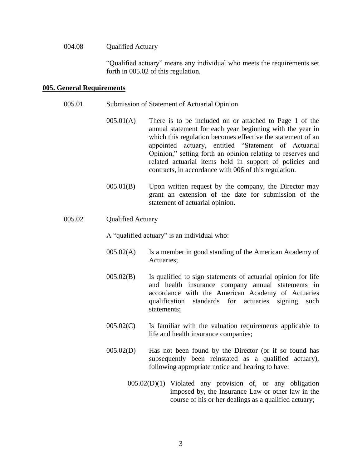#### 004.08 Oualified Actuary

"Qualified actuary" means any individual who meets the requirements set forth in 005.02 of this regulation.

#### **005. General Requirements**

- 005.01 Submission of Statement of Actuarial Opinion
	- 005.01(A) There is to be included on or attached to Page 1 of the annual statement for each year beginning with the year in which this regulation becomes effective the statement of an appointed actuary, entitled "Statement of Actuarial Opinion," setting forth an opinion relating to reserves and related actuarial items held in support of policies and contracts, in accordance with 006 of this regulation.
	- 005.01(B) Upon written request by the company, the Director may grant an extension of the date for submission of the statement of actuarial opinion.

# 005.02 Oualified Actuary

A "qualified actuary" is an individual who:

- 005.02(A) Is a member in good standing of the American Academy of Actuaries;
- 005.02(B) Is qualified to sign statements of actuarial opinion for life and health insurance company annual statements in accordance with the American Academy of Actuaries qualification standards for actuaries signing such statements;
- 005.02(C) Is familiar with the valuation requirements applicable to life and health insurance companies;
- 005.02(D) Has not been found by the Director (or if so found has subsequently been reinstated as a qualified actuary), following appropriate notice and hearing to have:
	- 005.02(D)(1) Violated any provision of, or any obligation imposed by, the Insurance Law or other law in the course of his or her dealings as a qualified actuary;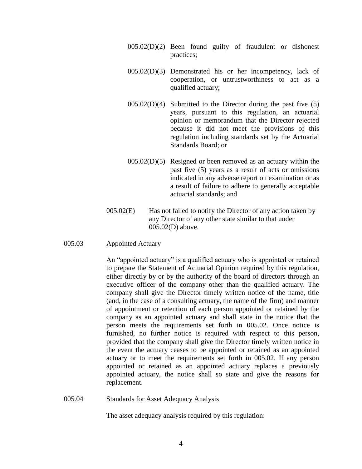- 005.02(D)(2) Been found guilty of fraudulent or dishonest practices;
- 005.02(D)(3) Demonstrated his or her incompetency, lack of cooperation, or untrustworthiness to act as a qualified actuary;
- $005.02(D)(4)$  Submitted to the Director during the past five  $(5)$ years, pursuant to this regulation, an actuarial opinion or memorandum that the Director rejected because it did not meet the provisions of this regulation including standards set by the Actuarial Standards Board; or
- $005.02(D)(5)$  Resigned or been removed as an actuary within the past five (5) years as a result of acts or omissions indicated in any adverse report on examination or as a result of failure to adhere to generally acceptable actuarial standards; and
- 005.02(E) Has not failed to notify the Director of any action taken by any Director of any other state similar to that under 005.02(D) above.
- 005.03 Appointed Actuary

An "appointed actuary" is a qualified actuary who is appointed or retained to prepare the Statement of Actuarial Opinion required by this regulation, either directly by or by the authority of the board of directors through an executive officer of the company other than the qualified actuary. The company shall give the Director timely written notice of the name, title (and, in the case of a consulting actuary, the name of the firm) and manner of appointment or retention of each person appointed or retained by the company as an appointed actuary and shall state in the notice that the person meets the requirements set forth in 005.02. Once notice is furnished, no further notice is required with respect to this person, provided that the company shall give the Director timely written notice in the event the actuary ceases to be appointed or retained as an appointed actuary or to meet the requirements set forth in 005.02. If any person appointed or retained as an appointed actuary replaces a previously appointed actuary, the notice shall so state and give the reasons for replacement.

005.04 Standards for Asset Adequacy Analysis

The asset adequacy analysis required by this regulation: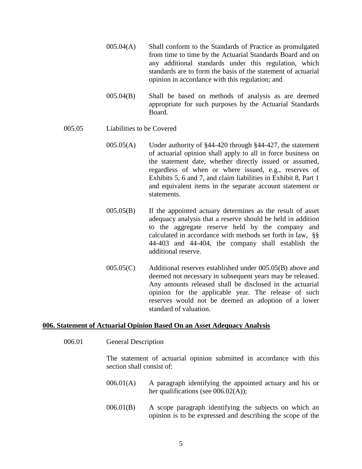- 005.04(A) Shall conform to the Standards of Practice as promulgated from time to time by the Actuarial Standards Board and on any additional standards under this regulation, which standards are to form the basis of the statement of actuarial opinion in accordance with this regulation; and
- 005.04(B) Shall be based on methods of analysis as are deemed appropriate for such purposes by the Actuarial Standards Board.

# 005.05 Liabilities to be Covered

- 005.05(A) Under authority of §44-420 through §44-427, the statement of actuarial opinion shall apply to all in force business on the statement date, whether directly issued or assumed, regardless of when or where issued, e.g., reserves of Exhibits 5, 6 and 7, and claim liabilities in Exhibit 8, Part 1 and equivalent items in the separate account statement or statements.
- 005.05(B) If the appointed actuary determines as the result of asset adequacy analysis that a reserve should be held in addition to the aggregate reserve held by the company and calculated in accordance with methods set forth in law, §§ 44-403 and 44-404, the company shall establish the additional reserve.
- 005.05(C) Additional reserves established under 005.05(B) above and deemed not necessary in subsequent years may be released. Any amounts released shall be disclosed in the actuarial opinion for the applicable year. The release of such reserves would not be deemed an adoption of a lower standard of valuation.

#### **006. Statement of Actuarial Opinion Based On an Asset Adequacy Analysis**

006.01 General Description

The statement of actuarial opinion submitted in accordance with this section shall consist of:

- 006.01(A) A paragraph identifying the appointed actuary and his or her qualifications (see 006.02(A));
- 006.01(B) A scope paragraph identifying the subjects on which an opinion is to be expressed and describing the scope of the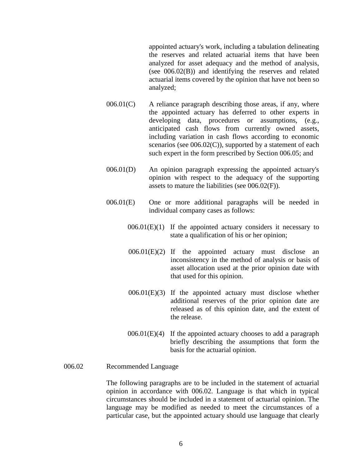appointed actuary's work, including a tabulation delineating the reserves and related actuarial items that have been analyzed for asset adequacy and the method of analysis, (see 006.02(B)) and identifying the reserves and related actuarial items covered by the opinion that have not been so analyzed;

- $006.01(C)$  A reliance paragraph describing those areas, if any, where the appointed actuary has deferred to other experts in developing data, procedures or assumptions, (e.g., anticipated cash flows from currently owned assets, including variation in cash flows according to economic scenarios (see 006.02(C)), supported by a statement of each such expert in the form prescribed by Section 006.05; and
- 006.01(D) An opinion paragraph expressing the appointed actuary's opinion with respect to the adequacy of the supporting assets to mature the liabilities (see 006.02(F)).
- 006.01(E) One or more additional paragraphs will be needed in individual company cases as follows:
	- $006.01(E)(1)$  If the appointed actuary considers it necessary to state a qualification of his or her opinion;
	- 006.01(E)(2) If the appointed actuary must disclose an inconsistency in the method of analysis or basis of asset allocation used at the prior opinion date with that used for this opinion.
	- 006.01(E)(3) If the appointed actuary must disclose whether additional reserves of the prior opinion date are released as of this opinion date, and the extent of the release.
	- $006.01(E)(4)$  If the appointed actuary chooses to add a paragraph briefly describing the assumptions that form the basis for the actuarial opinion.

## 006.02 Recommended Language

The following paragraphs are to be included in the statement of actuarial opinion in accordance with 006.02. Language is that which in typical circumstances should be included in a statement of actuarial opinion. The language may be modified as needed to meet the circumstances of a particular case, but the appointed actuary should use language that clearly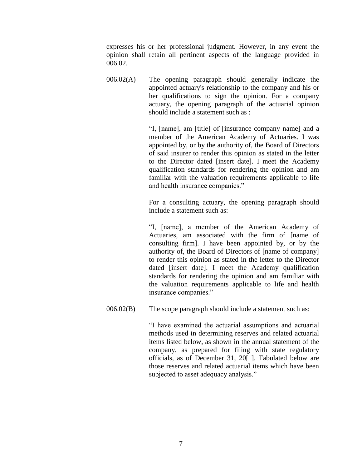expresses his or her professional judgment. However, in any event the opinion shall retain all pertinent aspects of the language provided in 006.02.

006.02(A) The opening paragraph should generally indicate the appointed actuary's relationship to the company and his or her qualifications to sign the opinion. For a company actuary, the opening paragraph of the actuarial opinion should include a statement such as :

> "I, [name], am [title] of [insurance company name] and a member of the American Academy of Actuaries. I was appointed by, or by the authority of, the Board of Directors of said insurer to render this opinion as stated in the letter to the Director dated [insert date]. I meet the Academy qualification standards for rendering the opinion and am familiar with the valuation requirements applicable to life and health insurance companies."

> For a consulting actuary, the opening paragraph should include a statement such as:

> "I, [name], a member of the American Academy of Actuaries, am associated with the firm of [name of consulting firm]. I have been appointed by, or by the authority of, the Board of Directors of [name of company] to render this opinion as stated in the letter to the Director dated [insert date]. I meet the Academy qualification standards for rendering the opinion and am familiar with the valuation requirements applicable to life and health insurance companies."

006.02(B) The scope paragraph should include a statement such as:

"I have examined the actuarial assumptions and actuarial methods used in determining reserves and related actuarial items listed below, as shown in the annual statement of the company, as prepared for filing with state regulatory officials, as of December 31, 20<sup>[]</sup>. Tabulated below are those reserves and related actuarial items which have been subjected to asset adequacy analysis."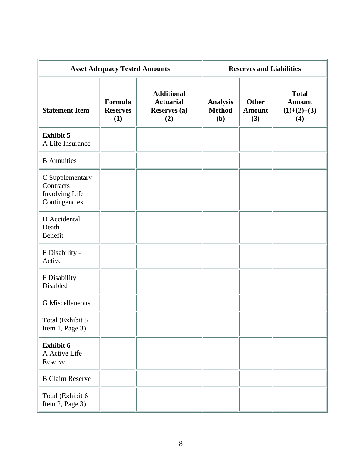| <b>Asset Adequacy Tested Amounts</b>                            |                                   |                                                                     | <b>Reserves and Liabilities</b>         |                                      |                                                       |
|-----------------------------------------------------------------|-----------------------------------|---------------------------------------------------------------------|-----------------------------------------|--------------------------------------|-------------------------------------------------------|
| <b>Statement Item</b>                                           | Formula<br><b>Reserves</b><br>(1) | <b>Additional</b><br><b>Actuarial</b><br><b>Reserves</b> (a)<br>(2) | <b>Analysis</b><br><b>Method</b><br>(b) | <b>Other</b><br><b>Amount</b><br>(3) | <b>Total</b><br><b>Amount</b><br>$(1)+(2)+(3)$<br>(4) |
| <b>Exhibit 5</b><br>A Life Insurance                            |                                   |                                                                     |                                         |                                      |                                                       |
| <b>B</b> Annuities                                              |                                   |                                                                     |                                         |                                      |                                                       |
| C Supplementary<br>Contracts<br>Involving Life<br>Contingencies |                                   |                                                                     |                                         |                                      |                                                       |
| D Accidental<br>Death<br>Benefit                                |                                   |                                                                     |                                         |                                      |                                                       |
| E Disability -<br>Active                                        |                                   |                                                                     |                                         |                                      |                                                       |
| F Disability -<br>Disabled                                      |                                   |                                                                     |                                         |                                      |                                                       |
| <b>G</b> Miscellaneous                                          |                                   |                                                                     |                                         |                                      |                                                       |
| Total (Exhibit 5<br>Item 1, Page 3)                             |                                   |                                                                     |                                         |                                      |                                                       |
| Exhibit 6<br>A Active Life<br>Reserve                           |                                   |                                                                     |                                         |                                      |                                                       |
| <b>B Claim Reserve</b>                                          |                                   |                                                                     |                                         |                                      |                                                       |
| Total (Exhibit 6<br>Item 2, Page 3)                             |                                   |                                                                     |                                         |                                      |                                                       |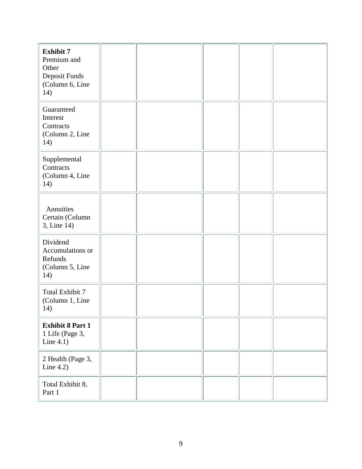| <b>Exhibit 7</b>                          |  |  |  |
|-------------------------------------------|--|--|--|
| Premium and                               |  |  |  |
| Other                                     |  |  |  |
| Deposit Funds                             |  |  |  |
| (Column 6, Line<br>14)                    |  |  |  |
|                                           |  |  |  |
| Guaranteed                                |  |  |  |
| Interest                                  |  |  |  |
| Contracts<br>(Column 2, Line              |  |  |  |
| 14)                                       |  |  |  |
|                                           |  |  |  |
| Supplemental                              |  |  |  |
| Contracts<br>(Column 4, Line              |  |  |  |
| 14)                                       |  |  |  |
|                                           |  |  |  |
|                                           |  |  |  |
| Annuities                                 |  |  |  |
| Certain (Column<br>3, Line 14)            |  |  |  |
|                                           |  |  |  |
| Dividend                                  |  |  |  |
| Accumulations or<br>Refunds               |  |  |  |
| (Column 5, Line                           |  |  |  |
| 14)                                       |  |  |  |
|                                           |  |  |  |
| <b>Total Exhibit 7</b><br>(Column 1, Line |  |  |  |
| 14)                                       |  |  |  |
|                                           |  |  |  |
| <b>Exhibit 8 Part 1</b>                   |  |  |  |
| 1 Life (Page 3,<br>Line $4.1$ )           |  |  |  |
|                                           |  |  |  |
| 2 Health (Page 3,                         |  |  |  |
| Line 4.2)                                 |  |  |  |
|                                           |  |  |  |
| Total Exhibit 8,<br>Part 1                |  |  |  |
|                                           |  |  |  |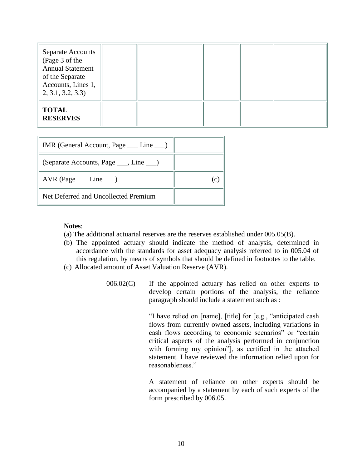| <b>Separate Accounts</b><br>(Page 3 of the<br><b>Annual Statement</b><br>of the Separate<br>Accounts, Lines 1,<br>2, 3.1, 3.2, 3.3 |  |  |  |
|------------------------------------------------------------------------------------------------------------------------------------|--|--|--|
| <b>TOTAL</b><br><b>RESERVES</b>                                                                                                    |  |  |  |

| IMR (General Account, Page ___ Line __) |  |
|-----------------------------------------|--|
| (Separate Accounts, Page ___, Line ___) |  |
| $AVR$ (Page $\_\_$ Line $\_\_)$         |  |
| Net Deferred and Uncollected Premium    |  |

## **Notes**:

- (a) The additional actuarial reserves are the reserves established under 005.05(B).
- (b) The appointed actuary should indicate the method of analysis, determined in accordance with the standards for asset adequacy analysis referred to in 005.04 of this regulation, by means of symbols that should be defined in footnotes to the table.
- (c) Allocated amount of Asset Valuation Reserve (AVR).
	- 006.02(C) If the appointed actuary has relied on other experts to develop certain portions of the analysis, the reliance paragraph should include a statement such as :

"I have relied on [name], [title] for [e.g., "anticipated cash flows from currently owned assets, including variations in cash flows according to economic scenarios" or "certain critical aspects of the analysis performed in conjunction with forming my opinion"], as certified in the attached statement. I have reviewed the information relied upon for reasonableness."

A statement of reliance on other experts should be accompanied by a statement by each of such experts of the form prescribed by 006.05.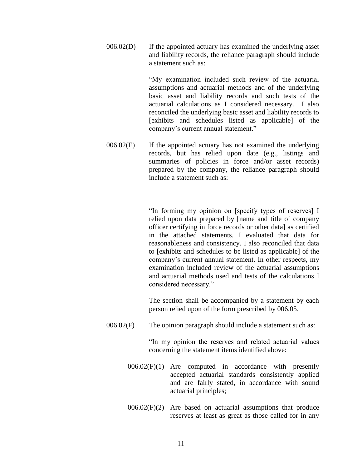006.02(D) If the appointed actuary has examined the underlying asset and liability records, the reliance paragraph should include a statement such as:

> "My examination included such review of the actuarial assumptions and actuarial methods and of the underlying basic asset and liability records and such tests of the actuarial calculations as I considered necessary. I also reconciled the underlying basic asset and liability records to [exhibits and schedules listed as applicable] of the company's current annual statement."

006.02(E) If the appointed actuary has not examined the underlying records, but has relied upon date (e.g., listings and summaries of policies in force and/or asset records) prepared by the company, the reliance paragraph should include a statement such as:

> "In forming my opinion on [specify types of reserves] I relied upon data prepared by [name and title of company officer certifying in force records or other data] as certified in the attached statements. I evaluated that data for reasonableness and consistency. I also reconciled that data to [exhibits and schedules to be listed as applicable] of the company's current annual statement. In other respects, my examination included review of the actuarial assumptions and actuarial methods used and tests of the calculations I considered necessary."

> The section shall be accompanied by a statement by each person relied upon of the form prescribed by 006.05.

006.02(F) The opinion paragraph should include a statement such as:

"In my opinion the reserves and related actuarial values concerning the statement items identified above:

- 006.02(F)(1) Are computed in accordance with presently accepted actuarial standards consistently applied and are fairly stated, in accordance with sound actuarial principles;
- $006.02(F)(2)$  Are based on actuarial assumptions that produce reserves at least as great as those called for in any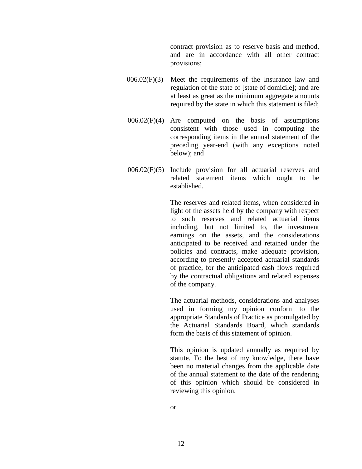contract provision as to reserve basis and method, and are in accordance with all other contract provisions;

- 006.02(F)(3) Meet the requirements of the Insurance law and regulation of the state of [state of domicile]; and are at least as great as the minimum aggregate amounts required by the state in which this statement is filed;
- $006.02(F)(4)$  Are computed on the basis of assumptions consistent with those used in computing the corresponding items in the annual statement of the preceding year-end (with any exceptions noted below); and
- 006.02(F)(5) Include provision for all actuarial reserves and related statement items which ought to be established.

The reserves and related items, when considered in light of the assets held by the company with respect to such reserves and related actuarial items including, but not limited to, the investment earnings on the assets, and the considerations anticipated to be received and retained under the policies and contracts, make adequate provision, according to presently accepted actuarial standards of practice, for the anticipated cash flows required by the contractual obligations and related expenses of the company.

The actuarial methods, considerations and analyses used in forming my opinion conform to the appropriate Standards of Practice as promulgated by the Actuarial Standards Board, which standards form the basis of this statement of opinion.

This opinion is updated annually as required by statute. To the best of my knowledge, there have been no material changes from the applicable date of the annual statement to the date of the rendering of this opinion which should be considered in reviewing this opinion.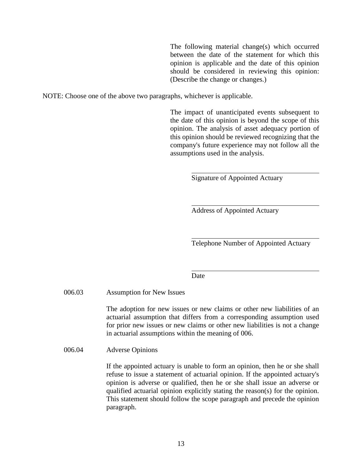The following material change(s) which occurred between the date of the statement for which this opinion is applicable and the date of this opinion should be considered in reviewing this opinion: (Describe the change or changes.)

NOTE: Choose one of the above two paragraphs, whichever is applicable.

The impact of unanticipated events subsequent to the date of this opinion is beyond the scope of this opinion. The analysis of asset adequacy portion of this opinion should be reviewed recognizing that the company's future experience may not follow all the assumptions used in the analysis.

Signature of Appointed Actuary

Address of Appointed Actuary

Telephone Number of Appointed Actuary

**Date** 

### 006.03 Assumption for New Issues

The adoption for new issues or new claims or other new liabilities of an actuarial assumption that differs from a corresponding assumption used for prior new issues or new claims or other new liabilities is not a change in actuarial assumptions within the meaning of 006.

006.04 Adverse Opinions

If the appointed actuary is unable to form an opinion, then he or she shall refuse to issue a statement of actuarial opinion. If the appointed actuary's opinion is adverse or qualified, then he or she shall issue an adverse or qualified actuarial opinion explicitly stating the reason(s) for the opinion. This statement should follow the scope paragraph and precede the opinion paragraph.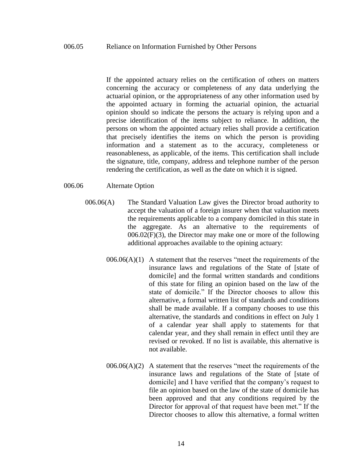If the appointed actuary relies on the certification of others on matters concerning the accuracy or completeness of any data underlying the actuarial opinion, or the appropriateness of any other information used by the appointed actuary in forming the actuarial opinion, the actuarial opinion should so indicate the persons the actuary is relying upon and a precise identification of the items subject to reliance. In addition, the persons on whom the appointed actuary relies shall provide a certification that precisely identifies the items on which the person is providing information and a statement as to the accuracy, completeness or reasonableness, as applicable, of the items. This certification shall include the signature, title, company, address and telephone number of the person rendering the certification, as well as the date on which it is signed.

## 006.06 Alternate Option

- 006.06(A) The Standard Valuation Law gives the Director broad authority to accept the valuation of a foreign insurer when that valuation meets the requirements applicable to a company domiciled in this state in the aggregate. As an alternative to the requirements of 006.02(F)(3), the Director may make one or more of the following additional approaches available to the opining actuary:
	- $006.06(A)(1)$  A statement that the reserves "meet the requirements of the insurance laws and regulations of the State of [state of domicile] and the formal written standards and conditions of this state for filing an opinion based on the law of the state of domicile." If the Director chooses to allow this alternative, a formal written list of standards and conditions shall be made available. If a company chooses to use this alternative, the standards and conditions in effect on July 1 of a calendar year shall apply to statements for that calendar year, and they shall remain in effect until they are revised or revoked. If no list is available, this alternative is not available.
	- $006.06(A)(2)$  A statement that the reserves "meet the requirements of the insurance laws and regulations of the State of [state of domicile] and I have verified that the company's request to file an opinion based on the law of the state of domicile has been approved and that any conditions required by the Director for approval of that request have been met." If the Director chooses to allow this alternative, a formal written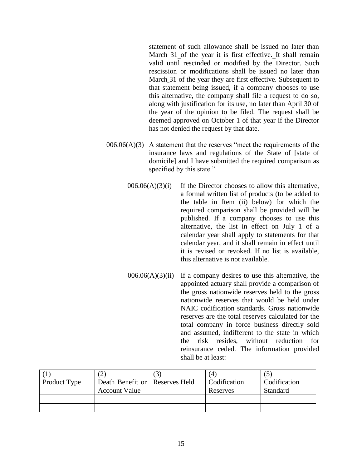statement of such allowance shall be issued no later than March 31 of the year it is first effective. It shall remain valid until rescinded or modified by the Director. Such rescission or modifications shall be issued no later than March 31 of the year they are first effective. Subsequent to that statement being issued, if a company chooses to use this alternative, the company shall file a request to do so, along with justification for its use, no later than April 30 of the year of the opinion to be filed. The request shall be deemed approved on October 1 of that year if the Director has not denied the request by that date.

- $006.06(A)(3)$  A statement that the reserves "meet the requirements of the insurance laws and regulations of the State of [state of domicile] and I have submitted the required comparison as specified by this state."
	- $006.06(A)(3)(i)$  If the Director chooses to allow this alternative, a formal written list of products (to be added to the table in Item (ii) below) for which the required comparison shall be provided will be published. If a company chooses to use this alternative, the list in effect on July 1 of a calendar year shall apply to statements for that calendar year, and it shall remain in effect until it is revised or revoked. If no list is available, this alternative is not available.
	- $006.06(A)(3)(ii)$  If a company desires to use this alternative, the appointed actuary shall provide a comparison of the gross nationwide reserves held to the gross nationwide reserves that would be held under NAIC codification standards. Gross nationwide reserves are the total reserves calculated for the total company in force business directly sold and assumed, indifferent to the state in which the risk resides, without reduction for reinsurance ceded. The information provided shall be at least:

| Product Type | Death Benefit or   Reserves Held<br><b>Account Value</b> | (4)<br>Codification<br>Reserves | Codification<br>Standard |
|--------------|----------------------------------------------------------|---------------------------------|--------------------------|
|              |                                                          |                                 |                          |
|              |                                                          |                                 |                          |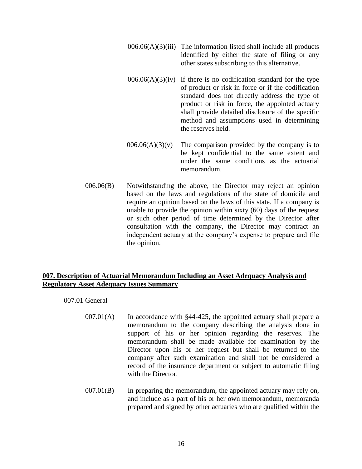- $006.06(A)(3)(iii)$  The information listed shall include all products identified by either the state of filing or any other states subscribing to this alternative.
- $006.06(A)(3)(iv)$  If there is no codification standard for the type of product or risk in force or if the codification standard does not directly address the type of product or risk in force, the appointed actuary shall provide detailed disclosure of the specific method and assumptions used in determining the reserves held.
- $006.06(A)(3)(v)$  The comparison provided by the company is to be kept confidential to the same extent and under the same conditions as the actuarial memorandum.
- 006.06(B) Notwithstanding the above, the Director may reject an opinion based on the laws and regulations of the state of domicile and require an opinion based on the laws of this state. If a company is unable to provide the opinion within sixty (60) days of the request or such other period of time determined by the Director after consultation with the company, the Director may contract an independent actuary at the company's expense to prepare and file the opinion.

# **007. Description of Actuarial Memorandum Including an Asset Adequacy Analysis and Regulatory Asset Adequacy Issues Summary**

007.01 General

- 007.01(A) In accordance with §44-425, the appointed actuary shall prepare a memorandum to the company describing the analysis done in support of his or her opinion regarding the reserves. The memorandum shall be made available for examination by the Director upon his or her request but shall be returned to the company after such examination and shall not be considered a record of the insurance department or subject to automatic filing with the Director.
- 007.01(B) In preparing the memorandum, the appointed actuary may rely on, and include as a part of his or her own memorandum, memoranda prepared and signed by other actuaries who are qualified within the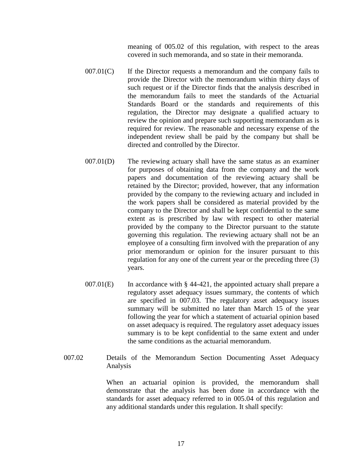meaning of 005.02 of this regulation, with respect to the areas covered in such memoranda, and so state in their memoranda.

- $007.01(C)$  If the Director requests a memorandum and the company fails to provide the Director with the memorandum within thirty days of such request or if the Director finds that the analysis described in the memorandum fails to meet the standards of the Actuarial Standards Board or the standards and requirements of this regulation, the Director may designate a qualified actuary to review the opinion and prepare such supporting memorandum as is required for review. The reasonable and necessary expense of the independent review shall be paid by the company but shall be directed and controlled by the Director.
- 007.01(D) The reviewing actuary shall have the same status as an examiner for purposes of obtaining data from the company and the work papers and documentation of the reviewing actuary shall be retained by the Director; provided, however, that any information provided by the company to the reviewing actuary and included in the work papers shall be considered as material provided by the company to the Director and shall be kept confidential to the same extent as is prescribed by law with respect to other material provided by the company to the Director pursuant to the statute governing this regulation. The reviewing actuary shall not be an employee of a consulting firm involved with the preparation of any prior memorandum or opinion for the insurer pursuant to this regulation for any one of the current year or the preceding three (3) years.
- $007.01(E)$  In accordance with § 44-421, the appointed actuary shall prepare a regulatory asset adequacy issues summary, the contents of which are specified in 007.03. The regulatory asset adequacy issues summary will be submitted no later than March 15 of the year following the year for which a statement of actuarial opinion based on asset adequacy is required. The regulatory asset adequacy issues summary is to be kept confidential to the same extent and under the same conditions as the actuarial memorandum.
- 007.02 Details of the Memorandum Section Documenting Asset Adequacy Analysis

When an actuarial opinion is provided, the memorandum shall demonstrate that the analysis has been done in accordance with the standards for asset adequacy referred to in 005.04 of this regulation and any additional standards under this regulation. It shall specify: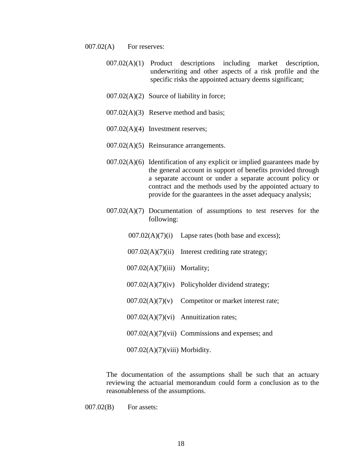- 007.02(A) For reserves:
	- 007.02(A)(1) Product descriptions including market description, underwriting and other aspects of a risk profile and the specific risks the appointed actuary deems significant;
	- 007.02(A)(2) Source of liability in force;
	- 007.02(A)(3) Reserve method and basis;
	- 007.02(A)(4) Investment reserves;
	- 007.02(A)(5) Reinsurance arrangements.
	- $007.02(A)(6)$  Identification of any explicit or implied guarantees made by the general account in support of benefits provided through a separate account or under a separate account policy or contract and the methods used by the appointed actuary to provide for the guarantees in the asset adequacy analysis;
	- 007.02(A)(7) Documentation of assumptions to test reserves for the following:
		- $007.02(A)(7)(i)$  Lapse rates (both base and excess);
		- $007.02(A)(7)(ii)$  Interest crediting rate strategy;
		- 007.02(A)(7)(iii) Mortality;
		- 007.02(A)(7)(iv) Policyholder dividend strategy;
		- $007.02(A)(7)(v)$  Competitor or market interest rate;
		- 007.02(A)(7)(vi) Annuitization rates;
		- 007.02(A)(7)(vii) Commissions and expenses; and

007.02(A)(7)(viii) Morbidity.

The documentation of the assumptions shall be such that an actuary reviewing the actuarial memorandum could form a conclusion as to the reasonableness of the assumptions.

007.02(B) For assets: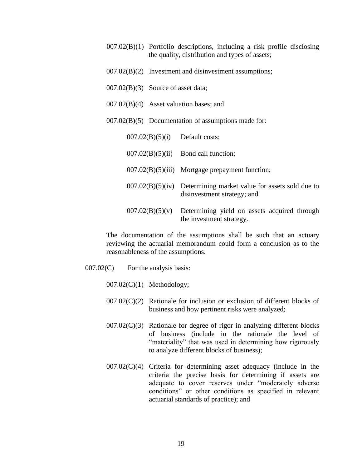- 007.02(B)(1) Portfolio descriptions, including a risk profile disclosing the quality, distribution and types of assets;
- 007.02(B)(2) Investment and disinvestment assumptions;
- 007.02(B)(3) Source of asset data;
- 007.02(B)(4) Asset valuation bases; and
- 007.02(B)(5) Documentation of assumptions made for:

| 007.02(B)(5)(i)  | Default costs;                                                                 |
|------------------|--------------------------------------------------------------------------------|
| 007.02(B)(5)(ii) | Bond call function;                                                            |
|                  | $007.02(B)(5)(iii)$ Mortgage prepayment function;                              |
| 007.02(B)(5)(iv) | Determining market value for assets sold due to<br>disinvestment strategy; and |
| 007.02(B)(5)(v)  | Determining yield on assets acquired through<br>the investment strategy.       |

The documentation of the assumptions shall be such that an actuary reviewing the actuarial memorandum could form a conclusion as to the reasonableness of the assumptions.

- 007.02(C) For the analysis basis:
	- $007.02(C)(1)$  Methodology;
	- $007.02(C)(2)$  Rationale for inclusion or exclusion of different blocks of business and how pertinent risks were analyzed;
	- $007.02(C)(3)$  Rationale for degree of rigor in analyzing different blocks of business (include in the rationale the level of "materiality" that was used in determining how rigorously to analyze different blocks of business);
	- 007.02(C)(4) Criteria for determining asset adequacy (include in the criteria the precise basis for determining if assets are adequate to cover reserves under "moderately adverse conditions" or other conditions as specified in relevant actuarial standards of practice); and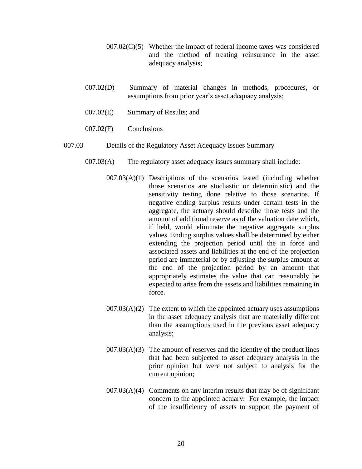- $007.02(C)(5)$  Whether the impact of federal income taxes was considered and the method of treating reinsurance in the asset adequacy analysis;
- 007.02(D) Summary of material changes in methods, procedures, or assumptions from prior year's asset adequacy analysis;
- 007.02(E) Summary of Results; and
- 007.02(F) Conclusions
- 007.03 Details of the Regulatory Asset Adequacy Issues Summary
	- 007.03(A) The regulatory asset adequacy issues summary shall include:
		- 007.03(A)(1) Descriptions of the scenarios tested (including whether those scenarios are stochastic or deterministic) and the sensitivity testing done relative to those scenarios. If negative ending surplus results under certain tests in the aggregate, the actuary should describe those tests and the amount of additional reserve as of the valuation date which, if held, would eliminate the negative aggregate surplus values. Ending surplus values shall be determined by either extending the projection period until the in force and associated assets and liabilities at the end of the projection period are immaterial or by adjusting the surplus amount at the end of the projection period by an amount that appropriately estimates the value that can reasonably be expected to arise from the assets and liabilities remaining in force.
		- $007.03(A)(2)$  The extent to which the appointed actuary uses assumptions in the asset adequacy analysis that are materially different than the assumptions used in the previous asset adequacy analysis;
		- $007.03(A)(3)$  The amount of reserves and the identity of the product lines that had been subjected to asset adequacy analysis in the prior opinion but were not subject to analysis for the current opinion;
		- $007.03(A)(4)$  Comments on any interim results that may be of significant concern to the appointed actuary. For example, the impact of the insufficiency of assets to support the payment of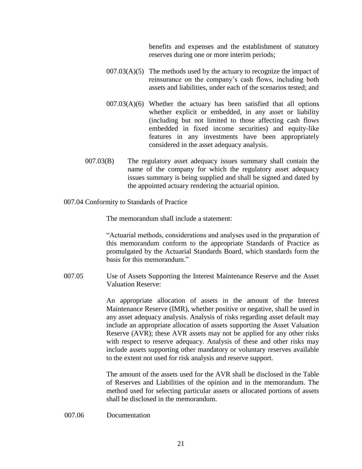benefits and expenses and the establishment of statutory reserves during one or more interim periods;

- $007.03(A)(5)$  The methods used by the actuary to recognize the impact of reinsurance on the company's cash flows, including both assets and liabilities, under each of the scenarios tested; and
- $007.03(A)(6)$  Whether the actuary has been satisfied that all options whether explicit or embedded, in any asset or liability (including but not limited to those affecting cash flows embedded in fixed income securities) and equity-like features in any investments have been appropriately considered in the asset adequacy analysis.
- 007.03(B) The regulatory asset adequacy issues summary shall contain the name of the company for which the regulatory asset adequacy issues summary is being supplied and shall be signed and dated by the appointed actuary rendering the actuarial opinion.
- 007.04 Conformity to Standards of Practice

The memorandum shall include a statement:

"Actuarial methods, considerations and analyses used in the preparation of this memorandum conform to the appropriate Standards of Practice as promulgated by the Actuarial Standards Board, which standards form the basis for this memorandum."

007.05 Use of Assets Supporting the Interest Maintenance Reserve and the Asset Valuation Reserve:

> An appropriate allocation of assets in the amount of the Interest Maintenance Reserve (IMR), whether positive or negative, shall be used in any asset adequacy analysis. Analysis of risks regarding asset default may include an appropriate allocation of assets supporting the Asset Valuation Reserve (AVR); these AVR assets may not be applied for any other risks with respect to reserve adequacy. Analysis of these and other risks may include assets supporting other mandatory or voluntary reserves available to the extent not used for risk analysis and reserve support.

> The amount of the assets used for the AVR shall be disclosed in the Table of Reserves and Liabilities of the opinion and in the memorandum. The method used for selecting particular assets or allocated portions of assets shall be disclosed in the memorandum.

### 007.06 Documentation